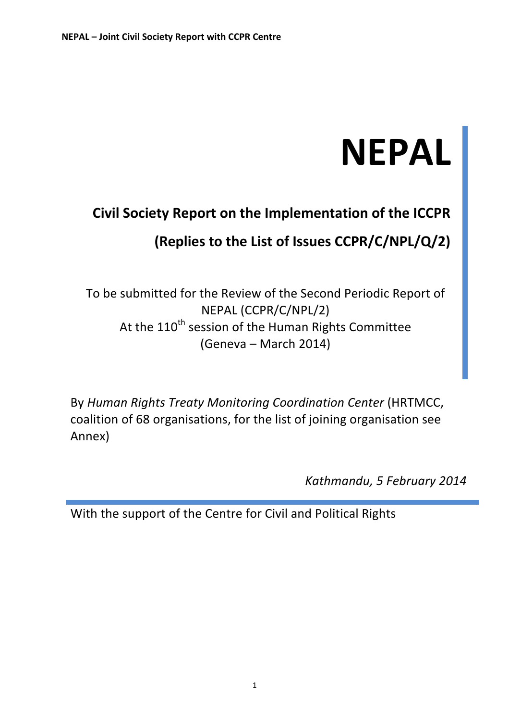# **NEPAL**

# **Civil Society Report on the Implementation of the ICCPR** (Replies to the List of Issues CCPR/C/NPL/Q/2)

To be submitted for the Review of the Second Periodic Report of NEPAL!(CCPR/C/NPL/2) At the 110<sup>th</sup> session of the Human Rights Committee (Geneva – March!2014)

By *Human Rights Treaty Monitoring Coordination Center* (HRTMCC, coalition of 68 organisations, for the list of joining organisation see Annex)

*Kathmandu,&5&February 2014*

With the support of the Centre for Civil and Political Rights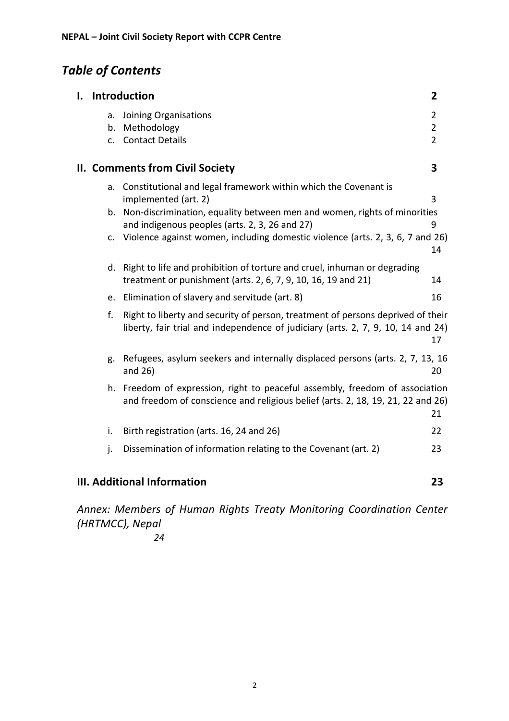# **Table of Contents**

|                                                                                                                                                                           |                                   | I. Introduction                                                                                                                                                 | $\overline{2}$ |
|---------------------------------------------------------------------------------------------------------------------------------------------------------------------------|-----------------------------------|-----------------------------------------------------------------------------------------------------------------------------------------------------------------|----------------|
|                                                                                                                                                                           | a.                                | Joining Organisations                                                                                                                                           | $\overline{2}$ |
|                                                                                                                                                                           |                                   | b. Methodology                                                                                                                                                  | $\overline{2}$ |
|                                                                                                                                                                           | C.                                | <b>Contact Details</b>                                                                                                                                          | $\overline{2}$ |
|                                                                                                                                                                           |                                   | <b>II. Comments from Civil Society</b>                                                                                                                          | 3              |
|                                                                                                                                                                           | a.                                | Constitutional and legal framework within which the Covenant is<br>implemented (art. 2)                                                                         | 3              |
|                                                                                                                                                                           |                                   | b. Non-discrimination, equality between men and women, rights of minorities<br>and indigenous peoples (arts. 2, 3, 26 and 27)                                   | 9              |
|                                                                                                                                                                           | c.                                | Violence against women, including domestic violence (arts. 2, 3, 6, 7 and 26)                                                                                   | 14             |
|                                                                                                                                                                           | d.                                | Right to life and prohibition of torture and cruel, inhuman or degrading<br>treatment or punishment (arts. 2, 6, 7, 9, 10, 16, 19 and 21)                       | 14             |
|                                                                                                                                                                           | e.                                | Elimination of slavery and servitude (art. 8)                                                                                                                   | 16             |
| f.<br>Right to liberty and security of person, treatment of persons deprived of their<br>liberty, fair trial and independence of judiciary (arts. 2, 7, 9, 10, 14 and 24) |                                   | 17                                                                                                                                                              |                |
|                                                                                                                                                                           | g.                                | Refugees, asylum seekers and internally displaced persons (arts. 2, 7, 13, 16<br>and $26$ )                                                                     | 20             |
|                                                                                                                                                                           |                                   | h. Freedom of expression, right to peaceful assembly, freedom of association<br>and freedom of conscience and religious belief (arts. 2, 18, 19, 21, 22 and 26) | 21             |
|                                                                                                                                                                           | i.                                | Birth registration (arts. 16, 24 and 26)                                                                                                                        | 22             |
|                                                                                                                                                                           | j.                                | Dissemination of information relating to the Covenant (art. 2)                                                                                                  | 23             |
|                                                                                                                                                                           | III. Additional Information<br>23 |                                                                                                                                                                 |                |

*Annex:&Members& of& Human& Rights& Treaty&Monitoring& Coordination& Center& (HRTMCC), Nepal* 

*24*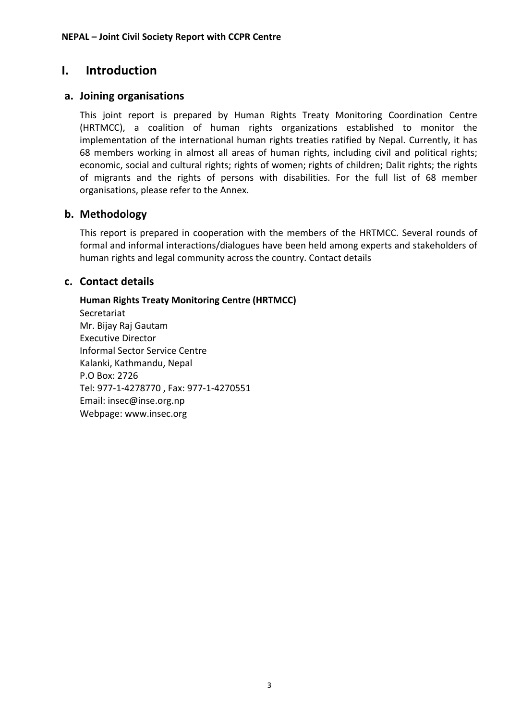# **I.** Introduction

#### **a. Joining&organisations**

This joint report is prepared by Human Rights Treaty Monitoring Coordination Centre (HRTMCC), a coalition of human rights organizations established to monitor the implementation of the international human rights treaties ratified by Nepal. Currently, it has 68 members working in almost all areas of human rights, including civil and political rights; economic, social and cultural rights; rights of women; rights of children; Dalit rights; the rights of migrants and the rights of persons with disabilities. For the full list of 68 member organisations, please refer to the Annex.

#### **b. Methodology**

This report is prepared in cooperation with the members of the HRTMCC. Several rounds of formal and informal interactions/dialogues have been held among experts and stakeholders of human rights and legal community across the country. Contact details

#### **c. Contact&details**

#### **Human&Rights&Treaty&Monitoring&Centre (HRTMCC)**

**Secretariat** Mr. Bijay Raj Gautam Executive Director Informal Sector Service Centre Kalanki, Kathmandu, Nepal P.O Box: 2726 Tel: 977-1-4278770, Fax: 977-1-4270551 Email: insec@inse.org.np Webpage: www.insec.org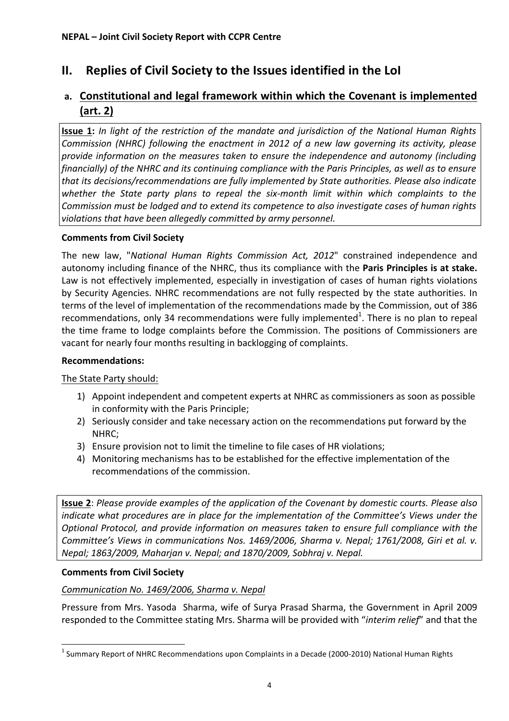# **II.** Replies of Civil Society to the Issues identified in the LoI

# a. **Constitutional and legal framework within which the Covenant is implemented (art.&2)**

**Issue 1:** *In light of the restriction of the mandate and jurisdiction of the National Human Rights Commission (NHRC) following the enactment in 2012 of a new law governing its activity, please* provide information on the measures taken to ensure the independence and autonomy (including *financially)* of the NHRC and its continuing compliance with the Paris Principles, as well as to ensure that its decisions/recommendations are fully implemented by State authorities. Please also indicate whether the State party plans to repeal the six-month limit within which complaints to the *Commission&must&be&lodged&and&to&extend&its&competence&to&also&investigate&cases&of&human&rights& violations that have been allegedly committed by army personnel.* 

#### **Comments from Civil Society**

The new law, "*National Human Rights Commission Act, 2012*" constrained independence and autonomy including finance of the NHRC, thus its compliance with the **Paris Principles is at stake.** Law is not effectively implemented, especially in investigation of cases of human rights violations by Security Agencies. NHRC recommendations are not fully respected by the state authorities. In terms of the level of implementation of the recommendations made by the Commission, out of 386 recommendations, only 34 recommendations were fully implemented<sup>1</sup>. There is no plan to repeal the time frame to lodge complaints before the Commission. The positions of Commissioners are vacant for nearly four months resulting in backlogging of complaints.

#### **Recommendations:**

The State Party should:

- 1) Appoint independent and competent experts at NHRC as commissioners as soon as possible in conformity with the Paris Principle;
- 2) Seriously consider and take necessary action on the recommendations put forward by the NHRC;
- 3) Ensure provision not to limit the timeline to file cases of HR violations;
- 4) Monitoring mechanisms has to be established for the effective implementation of the recommendations of the commission.

**Issue 2**: *Please provide examples of the application of the Covenant by domestic courts. Please also indicate what procedures are in place for the implementation of the Committee's Views under the Optional Protocol, and provide information on measures taken to ensure full compliance with the Committee's Views in communications Nos. 1469/2006, Sharma v. Nepal; 1761/2008, Giri et al. v. Nepal; 1863/2009, Maharjan v. Nepal; and 1870/2009, Sobhraj v. Nepal.* 

#### **Comments from Civil Society**

!!!!!!!!!!!!!!!!!!!!!!!!!!!!!!!!!!!!!!!!!!!!!!!!!!!!!!!!!!!!

#### *Communication No. 1469/2006, Sharma v. Nepal*

Pressure from Mrs. Yasoda Sharma, wife of Surya Prasad Sharma, the Government in April 2009 responded to the Committee stating Mrs. Sharma will be provided with "*interim relief*" and that the

 $1$  Summary Report of NHRC Recommendations upon Complaints in a Decade (2000-2010) National Human Rights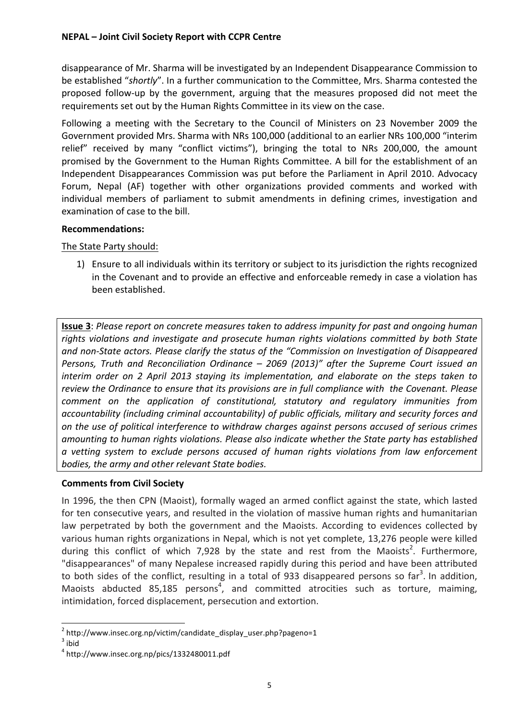disappearance of Mr. Sharma will be investigated by an Independent Disappearance Commission to be established "shortly". In a further communication to the Committee, Mrs. Sharma contested the proposed follow-up by the government, arguing that the measures proposed did not meet the requirements set out by the Human Rights Committee in its view on the case.

Following a meeting with the Secretary to the Council of Ministers on 23 November 2009 the Government provided Mrs. Sharma with NRs 100,000 (additional to an earlier NRs 100,000 "interim relief" received by many "conflict victims"), bringing the total to NRs 200,000, the amount promised by the Government to the Human Rights Committee. A bill for the establishment of an Independent Disappearances Commission was put before the Parliament in April 2010. Advocacy Forum, Nepal (AF) together with other organizations provided comments and worked with individual members of parliament to submit amendments in defining crimes, investigation and examination of case to the bill.

#### **Recommendations:**

The State Party should:

1) Ensure to all individuals within its territory or subject to its jurisdiction the rights recognized in the Covenant and to provide an effective and enforceable remedy in case a violation has been established.

**Issue 3**: *Please report on concrete measures taken to address impunity for past and ongoing human* rights violations and investigate and prosecute human rights violations committed by both State and non-State actors. Please clarify the status of the "Commission on Investigation of Disappeared *Persons, Truth and Reconciliation Ordinance – 2069 (2013)" after the Supreme Court issued an interim order on 2 April 2013 staying its implementation, and elaborate on the steps taken to* review the Ordinance to ensure that its provisions are in full compliance with the Covenant. Please *comment& on& the& application& of& constitutional,& statutory& and& regulatory& immunities& from&* accountability (including criminal accountability) of public officials, military and security forces and *on&the&use&of&political&interference&to&withdraw&charges&against&persons&accused&of&serious&crimes& amounting&to&human&rights&violations.&Please&also&indicate&whether&the&State&party&has&established& a& vetting& system& to& exclude& persons& accused& of& human& rights& violations& from& law& enforcement&* bodies, the army and other relevant State bodies.

#### **Comments from Civil Society**

!!!!!!!!!!!!!!!!!!!!!!!!!!!!!!!!!!!!!!!!!!!!!!!!!!!!!!!!!!!!

In 1996, the then CPN (Maoist), formally waged an armed conflict against the state, which lasted for ten consecutive years, and resulted in the violation of massive human rights and humanitarian law perpetrated by both the government and the Maoists. According to evidences collected by various human rights organizations in Nepal, which is not yet complete, 13,276 people were killed during this conflict of which 7,928 by the state and rest from the Maoists<sup>2</sup>. Furthermore, "disappearances" of many Nepalese increased rapidly during this period and have been attributed to both sides of the conflict, resulting in a total of 933 disappeared persons so far<sup>3</sup>. In addition, Maoists abducted 85,185 persons<sup>4</sup>, and committed atrocities such as torture, maiming, intimidation, forced displacement, persecution and extortion.

 $2 \text{ http://www.insec.org.np/victim/candidate_display_user.php?pageno=1 }$ <br> $3 \text{ hid}$ 

<sup>4</sup> http://www.insec.org.np/pics/1332480011.pdf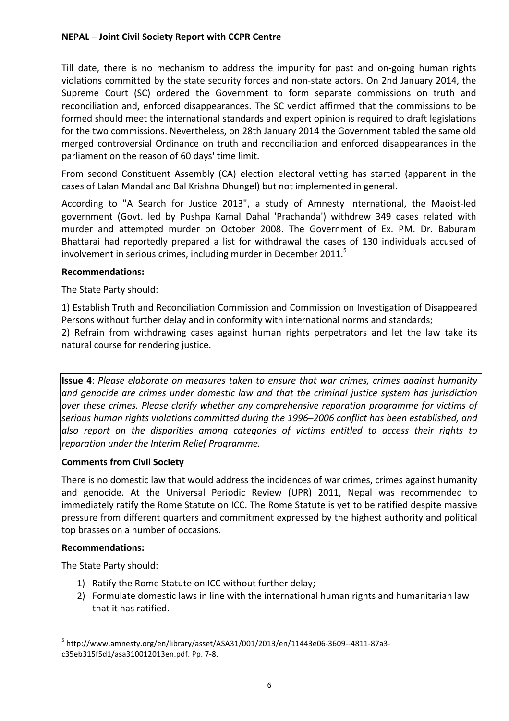Till date, there is no mechanism to address the impunity for past and on-going human rights violations committed by the state security forces and non-state actors. On 2nd January 2014, the Supreme Court (SC) ordered the Government to form separate commissions on truth and reconciliation and, enforced disappearances. The SC verdict affirmed that the commissions to be formed should meet the international standards and expert opinion is required to draft legislations for the two commissions. Nevertheless, on 28th January 2014 the Government tabled the same old merged controversial Ordinance on truth and reconciliation and enforced disappearances in the parliament on the reason of 60 days' time limit.

From second Constituent Assembly (CA) election electoral vetting has started (apparent in the cases of Lalan Mandal and Bal Krishna Dhungel) but not implemented in general.

According to "A Search for Justice 2013", a study of Amnesty International, the Maoist-led government (Govt. led by Pushpa Kamal Dahal 'Prachanda') withdrew 349 cases related with murder and attempted murder on October 2008. The Government of Ex. PM. Dr. Baburam Bhattarai had reportedly prepared a list for withdrawal the cases of 130 individuals accused of involvement in serious crimes, including murder in December 2011. $^5$ 

#### **Recommendations:**

#### The State Party should:

1) Establish Truth and Reconciliation Commission and Commission on Investigation of Disappeared Persons without further delay and in conformity with international norms and standards;

2) Refrain from withdrawing cases against human rights perpetrators and let the law take its natural course for rendering justice.

**Issue 4**: *Please elaborate on measures taken to ensure that war crimes, crimes against humanity* and genocide are crimes under domestic law and that the criminal justice system has jurisdiction  $over$  these crimes. Please clarify whether any comprehensive reparation programme for victims of serious human rights violations committed during the 1996–2006 conflict has been established, and also report on the disparities among categories of victims entitled to access their rights to *reparation under the Interim Relief Programme.* 

#### **Comments from Civil Society**

There is no domestic law that would address the incidences of war crimes, crimes against humanity and genocide. At the Universal Periodic Review (UPR) 2011, Nepal was recommended to immediately ratify the Rome Statute on ICC. The Rome Statute is yet to be ratified despite massive pressure from different quarters and commitment expressed by the highest authority and political top brasses on a number of occasions.

#### **Recommendations:**

The State Party should:

!!!!!!!!!!!!!!!!!!!!!!!!!!!!!!!!!!!!!!!!!!!!!!!!!!!!!!!!!!!!

- 1) Ratify the Rome Statute on ICC without further delay;
- 2) Formulate domestic laws in line with the international human rights and humanitarian law that it has ratified.

 $^5$  http://www.amnesty.org/en/library/asset/ASA31/001/2013/en/11443e06-3609--4811-87a3c35eb315f5d1/asa310012013en.pdf. Pp. 7-8.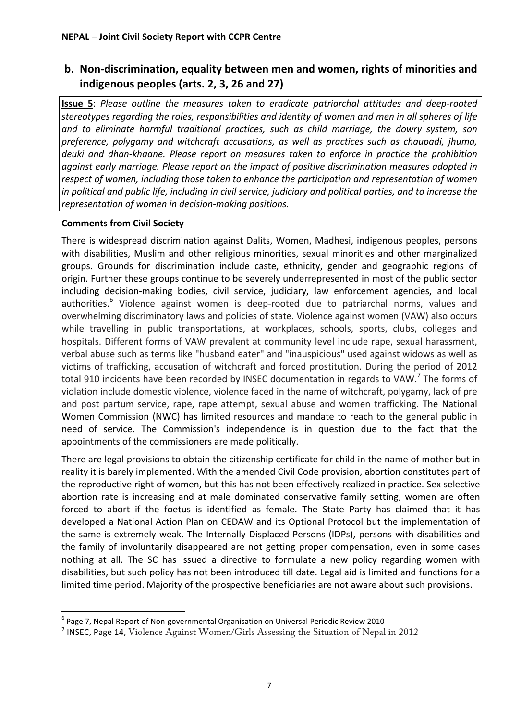# **b.** Non-discrimination, equality between men and women, rights of minorities and indigenous peoples (arts. 2, 3, 26 and 27)

**Issue 5**: *Please outline the measures taken to eradicate patriarchal attitudes and deep-rooted* stereotypes regarding the roles, responsibilities and identity of women and men in all spheres of life *and& to& eliminate& harmful& traditional& practices,& such& as& child& marriage,& the& dowry& system,& son& preference,& polygamy& and& witchcraft& accusations,& as& well& as& practices& such& as& chaupadi,& jhuma,& deuki& and& dhanQkhaane.& Please& report& on& measures& taken& to& enforce& in& practice& the& prohibition&* against early marriage. Please report on the impact of positive discrimination measures adopted in respect of women, including those taken to enhance the participation and representation of women *in political and public life, including in civil service, judiciary and political parties, and to increase the representation of women in decision-making positions.* 

#### **Comments from Civil Society**

!!!!!!!!!!!!!!!!!!!!!!!!!!!!!!!!!!!!!!!!!!!!!!!!!!!!!!!!!!!!

There is widespread discrimination against Dalits, Women, Madhesi, indigenous peoples, persons with disabilities, Muslim and other religious minorities, sexual minorities and other marginalized groups. Grounds for discrimination include caste, ethnicity, gender and geographic regions of origin. Further these groups continue to be severely underrepresented in most of the public sector including decision-making bodies, civil service, judiciary, law enforcement agencies, and local authorities.<sup>6</sup> Violence against women is deep-rooted due to patriarchal norms, values and overwhelming discriminatory laws and policies of state. Violence against women (VAW) also occurs while travelling in public transportations, at workplaces, schools, sports, clubs, colleges and hospitals. Different forms of VAW prevalent at community level include rape, sexual harassment, verbal abuse such as terms like "husband eater" and "inauspicious" used against widows as well as victims of trafficking, accusation of witchcraft and forced prostitution. During the period of 2012 total 910 incidents have been recorded by INSEC documentation in regards to VAW.<sup>7</sup> The forms of violation include domestic violence, violence faced in the name of witchcraft, polygamy, lack of pre and post partum service, rape, rape attempt, sexual abuse and women trafficking. The National Women Commission (NWC) has limited resources and mandate to reach to the general public in need of service. The Commission's independence is in question due to the fact that the appointments of the commissioners are made politically.

There are legal provisions to obtain the citizenship certificate for child in the name of mother but in reality it is barely implemented. With the amended Civil Code provision, abortion constitutes part of the reproductive right of women, but this has not been effectively realized in practice. Sex selective abortion rate is increasing and at male dominated conservative family setting, women are often forced to abort if the foetus is identified as female. The State Party has claimed that it has developed a National Action Plan on CEDAW and its Optional Protocol but the implementation of the same is extremely weak. The Internally Displaced Persons (IDPs), persons with disabilities and the family of involuntarily disappeared are not getting proper compensation, even in some cases nothing at all. The SC has issued a directive to formulate a new policy regarding women with disabilities, but such policy has not been introduced till date. Legal aid is limited and functions for a limited time period. Majority of the prospective beneficiaries are not aware about such provisions.

 $^6$  Page 7, Nepal Report of Non-governmental Organisation on Universal Periodic Review 2010

<sup>&</sup>lt;sup>7</sup> INSEC, Page 14, Violence Against Women/Girls Assessing the Situation of Nepal in 2012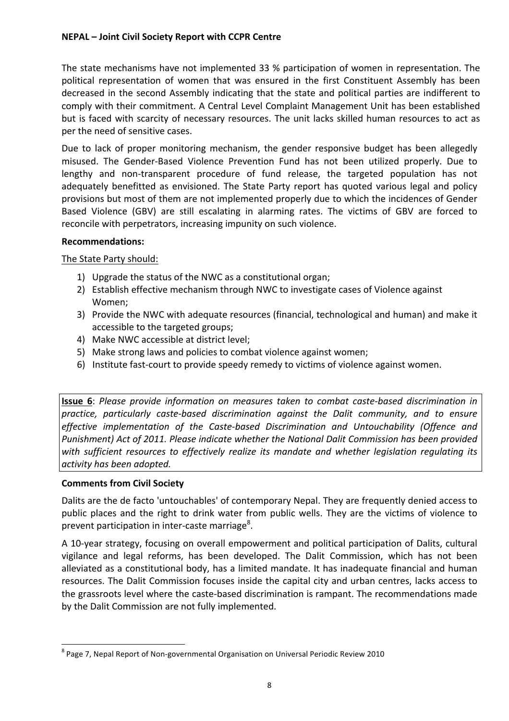The state mechanisms have not implemented 33 % participation of women in representation. The political representation of women that was ensured in the first Constituent Assembly has been decreased in the second Assembly indicating that the state and political parties are indifferent to comply with their commitment. A Central Level Complaint Management Unit has been established but is faced with scarcity of necessary resources. The unit lacks skilled human resources to act as per the need of sensitive cases.

Due to lack of proper monitoring mechanism, the gender responsive budget has been allegedly misused. The Gender-Based Violence Prevention Fund has not been utilized properly. Due to lengthy and non-transparent procedure of fund release, the targeted population has not adequately benefitted as envisioned. The State Party report has quoted various legal and policy provisions but most of them are not implemented properly due to which the incidences of Gender Based Violence (GBV) are still escalating in alarming rates. The victims of GBV are forced to reconcile with perpetrators, increasing impunity on such violence.

#### **Recommendations:**

The State Party should:

- 1) Upgrade the status of the NWC as a constitutional organ;
- 2) Establish effective mechanism through NWC to investigate cases of Violence against Women;
- 3) Provide the NWC with adequate resources (financial, technological and human) and make it accessible to the targeted groups;
- 4) Make NWC accessible at district level;
- 5) Make strong laws and policies to combat violence against women;
- 6) Institute fast-court to provide speedy remedy to victims of violence against women.

**Issue 6**: *Please provide information on measures taken to combat caste-based discrimination in practice, particularly caste-based discrimination against the Dalit community, and to ensure effective implementation of the Caste-based Discrimination and Untouchability (Offence and* Punishment) Act of 2011. Please indicate whether the National Dalit Commission has been provided with sufficient resources to effectively realize its mandate and whether legislation regulating its activity has been adopted.

#### **Comments from Civil Society**

!!!!!!!!!!!!!!!!!!!!!!!!!!!!!!!!!!!!!!!!!!!!!!!!!!!!!!!!!!!!

Dalits are the de facto 'untouchables' of contemporary Nepal. They are frequently denied access to public places and the right to drink water from public wells. They are the victims of violence to prevent participation in inter-caste marriage<sup>8</sup>.

A 10-year strategy, focusing on overall empowerment and political participation of Dalits, cultural vigilance and legal reforms, has been developed. The Dalit Commission, which has not been alleviated as a constitutional body, has a limited mandate. It has inadequate financial and human resources. The Dalit Commission focuses inside the capital city and urban centres, lacks access to the grassroots level where the caste-based discrimination is rampant. The recommendations made by the Dalit Commission are not fully implemented.

 $8$  Page 7, Nepal Report of Non-governmental Organisation on Universal Periodic Review 2010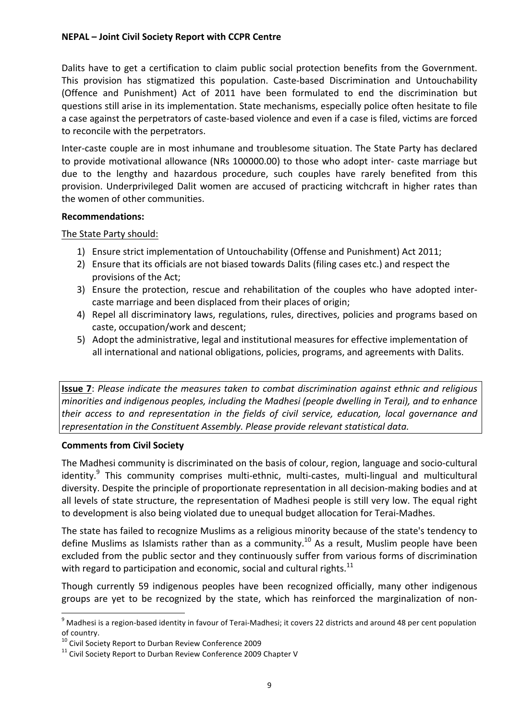Dalits have to get a certification to claim public social protection benefits from the Government. This provision has stigmatized this population. Caste-based Discrimination and Untouchability (Offence and Punishment) Act of 2011 have been formulated to end the discrimination but questions still arise in its implementation. State mechanisms, especially police often hesitate to file a case against the perpetrators of caste-based violence and even if a case is filed, victims are forced to reconcile with the perpetrators.

Inter-caste couple are in most inhumane and troublesome situation. The State Party has declared to provide motivational allowance (NRs 100000.00) to those who adopt inter- caste marriage but due to the lengthy and hazardous procedure, such couples have rarely benefited from this provision. Underprivileged Dalit women are accused of practicing witchcraft in higher rates than the women of other communities.

#### **Recommendations:**

#### The State Party should:

- 1) Ensure strict implementation of Untouchability (Offense and Punishment) Act 2011;
- 2) Ensure that its officials are not biased towards Dalits (filing cases etc.) and respect the provisions of the Act;
- 3) Ensure the protection, rescue and rehabilitation of the couples who have adopted intercaste marriage and been displaced from their places of origin;
- 4) Repel all discriminatory laws, regulations, rules, directives, policies and programs based on caste, occupation/work and descent;
- 5) Adopt the administrative, legal and institutional measures for effective implementation of all international and national obligations, policies, programs, and agreements with Dalits.

**Issue 7**: *Please indicate the measures taken to combat discrimination against ethnic and religious minorities&and&indigenous&peoples,&including&the&Madhesi&(people&dwelling&in&Terai),&and&to&enhance& their& access& to& and& representation& in& the& fields of& civil& service,& education,& local& governance& and&* representation in the Constituent Assembly. Please provide relevant statistical data.

#### **Comments from Civil Society**

The Madhesi community is discriminated on the basis of colour, region, language and socio-cultural identity.<sup>9</sup> This community comprises multi-ethnic, multi-castes, multi-lingual and multicultural diversity. Despite the principle of proportionate representation in all decision-making bodies and at all levels of state structure, the representation of Madhesi people is still very low. The equal right to development is also being violated due to unequal budget allocation for Terai-Madhes.

The state has failed to recognize Muslims as a religious minority because of the state's tendency to define Muslims as Islamists rather than as a community.<sup>10</sup> As a result, Muslim people have been excluded from the public sector and they continuously suffer from various forms of discrimination with regard to participation and economic, social and cultural rights.<sup>11</sup>

Though currently 59 indigenous peoples have been recognized officially, many other indigenous groups are yet to be recognized by the state, which has reinforced the marginalization of non-

<sup>&</sup>lt;sup>9</sup> Madhesi is a region-based identity in favour of Terai-Madhesi; it covers 22 districts and around 48 per cent population of country.<br><sup>10</sup> Civil Society Report to Durban Review Conference 2009

 $11$  Civil Society Report to Durban Review Conference 2009 Chapter V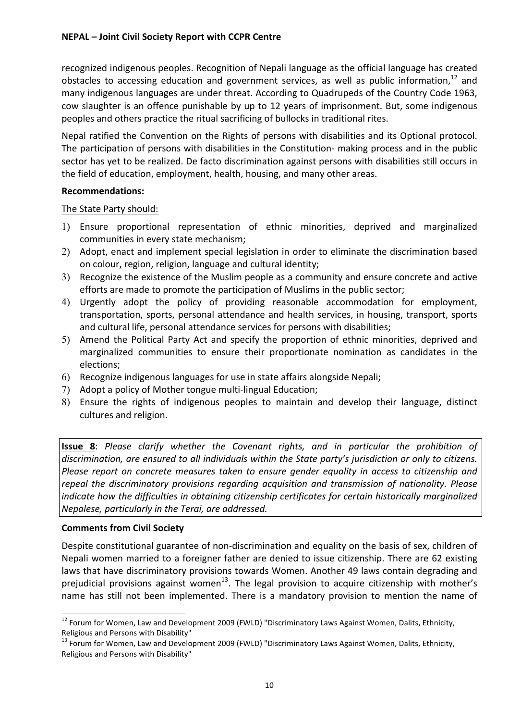recognized indigenous peoples. Recognition of Nepali language as the official language has created obstacles to accessing education and government services, as well as public information,  $12$  and many indigenous languages are under threat. According to Quadrupeds of the Country Code 1963, cow slaughter is an offence punishable by up to 12 years of imprisonment. But, some indigenous peoples and others practice the ritual sacrificing of bullocks in traditional rites.

Nepal ratified the Convention on the Rights of persons with disabilities and its Optional protocol. The participation of persons with disabilities in the Constitution- making process and in the public sector has yet to be realized. De facto discrimination against persons with disabilities still occurs in the field of education, employment, health, housing, and many other areas.

#### **Recommendations:**

The State Party should:

- 1) Ensure proportional representation of ethnic minorities, deprived and marginalized communities in every state mechanism;
- 2) Adopt, enact and implement special legislation in order to eliminate the discrimination based on colour, region, religion, language and cultural identity;
- 3) Recognize the existence of the Muslim people as a community and ensure concrete and active efforts are made to promote the participation of Muslims in the public sector;
- 4) Urgently adopt the policy of providing reasonable accommodation for employment, transportation, sports, personal attendance and health services, in housing, transport, sports and cultural life, personal attendance services for persons with disabilities;
- 5) Amend the Political Party Act and specify the proportion of ethnic minorities, deprived and marginalized communities to ensure their proportionate nomination as candidates in the elections;
- 6) Recognize indigenous languages for use in state affairs alongside Nepali;
- 7) Adopt a policy of Mother tongue multi-lingual Education;
- 8) Ensure the rights of indigenous peoples to maintain and develop their language, distinct cultures and religion.

**Issue 8**: *Please clarify whether the Covenant rights, and in particular the prohibition of* discrimination, are ensured to all individuals within the State party's jurisdiction or only to citizens. *Please report on concrete measures taken to ensure gender equality in access to citizenship and* repeal the discriminatory provisions regarding acquisition and transmission of nationality. Please *indicate how the difficulties in obtaining citizenship certificates for certain historically marginalized Nepalese, particularly in the Terai, are addressed.* 

#### **Comments from Civil Society**

Despite constitutional guarantee of non-discrimination and equality on the basis of sex, children of Nepali women married to a foreigner father are denied to issue citizenship. There are 62 existing laws that have discriminatory provisions towards Women. Another 49 laws contain degrading and prejudicial provisions against women<sup>13</sup>. The legal provision to acquire citizenship with mother's name has still not been implemented. There is a mandatory provision to mention the name of

<sup>&</sup>lt;sup>12</sup> Forum for Women, Law and Development 2009 (FWLD) "Discriminatory Laws Against Women, Dalits, Ethnicity, Religious and Persons with Disability" 13 Austicap Poliscriminatory Laws Against Women, Dalits, Ethnicity, the<br><sup>13</sup> Forum for Women, Law and Development 2009 (FWLD) "Discriminatory Laws Against Women, Dalits, Ethnicity,

Religious and Persons with Disability"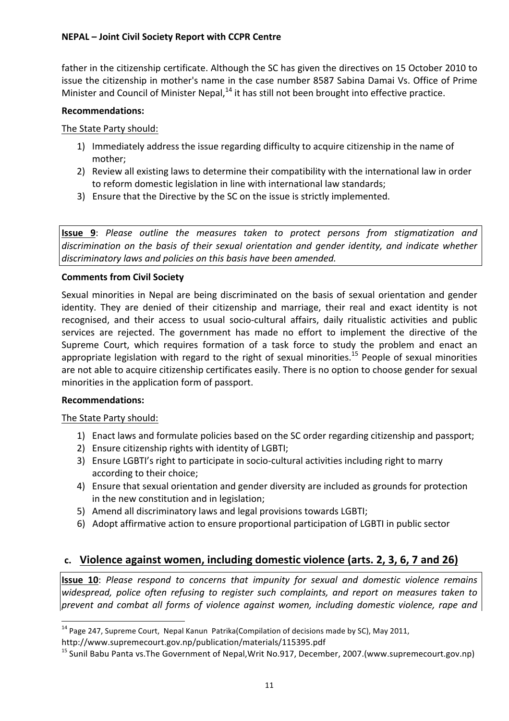father in the citizenship certificate. Although the SC has given the directives on 15 October 2010 to issue the citizenship in mother's name in the case number 8587 Sabina Damai Vs. Office of Prime Minister and Council of Minister Nepal.<sup>14</sup> it has still not been brought into effective practice.

#### **Recommendations:**

The State Party should:

- 1) Immediately address the issue regarding difficulty to acquire citizenship in the name of mother;
- 2) Review all existing laws to determine their compatibility with the international law in order to reform domestic legislation in line with international law standards;
- 3) Ensure that the Directive by the SC on the issue is strictly implemented.

**Issue 9**: *Please outline the measures taken to protect persons from stigmatization and discrimination& on& the& basis& of& their& sexual& orientation& and& gender& identity,& and& indicate& whether&* discriminatory laws and policies on this basis have been amended.

#### **Comments from Civil Society**

Sexual minorities in Nepal are being discriminated on the basis of sexual orientation and gender identity. They are denied of their citizenship and marriage, their real and exact identity is not recognised, and their access to usual socio-cultural affairs, daily ritualistic activities and public services are rejected. The government has made no effort to implement the directive of the Supreme Court, which requires formation of a task force to study the problem and enact an appropriate legislation with regard to the right of sexual minorities.<sup>15</sup> People of sexual minorities are not able to acquire citizenship certificates easily. There is no option to choose gender for sexual minorities in the application form of passport.

#### **Recommendations:**

#### The State Party should:

!!!!!!!!!!!!!!!!!!!!!!!!!!!!!!!!!!!!!!!!!!!!!!!!!!!!!!!!!!!!

- 1) Enact laws and formulate policies based on the SC order regarding citizenship and passport;
- 2) Ensure citizenship rights with identity of LGBTI;
- 3) Ensure LGBTI's right to participate in socio-cultural activities including right to marry according to their choice:
- 4) Ensure that sexual orientation and gender diversity are included as grounds for protection in the new constitution and in legislation;
- 5) Amend all discriminatory laws and legal provisions towards LGBTI;
- 6) Adopt affirmative action to ensure proportional participation of LGBTI in public sector

# **c.** Violence against women, including domestic violence (arts. 2, 3, 6, 7 and 26)

**Issue 10**: *Please respond to concerns that impunity for sexual and domestic violence remains*  $w$ *idespread, police often refusing to register such complaints, and report on measures taken to* **prevent and combat all forms of violence against women, including domestic violence, rape and** 

<sup>&</sup>lt;sup>14</sup> Page 247, Supreme Court, Nepal Kanun Patrika(Compilation of decisions made by SC), May 2011,

http://www.supremecourt.gov.np/publication/materials/115395.pdf

<sup>&</sup>lt;sup>15</sup> Sunil Babu Panta vs.The Government of Nepal,Writ No.917, December, 2007.(www.supremecourt.gov.np)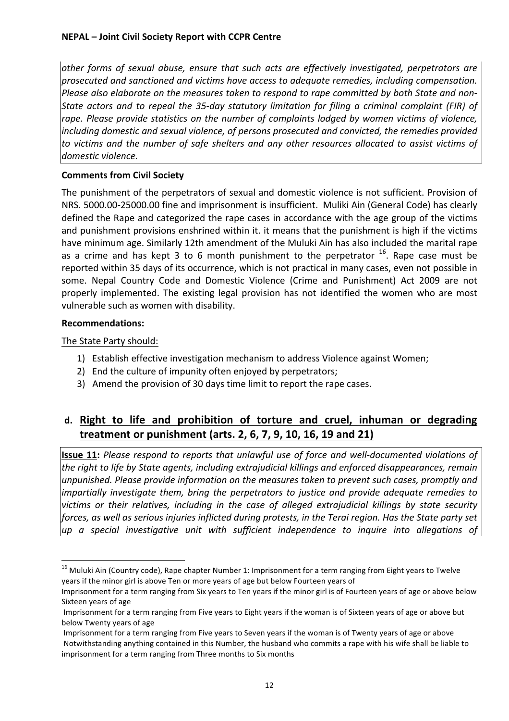*other& forms& of& sexual& abuse,& ensure& that& such& acts& are& effectively& investigated,& perpetrators& are& prosecuted&and&sanctioned&and&victims&have&access&to&adequate&remedies,&including&compensation.& Please also elaborate on the measures taken to respond to rape committed by both State and non-State actors and to repeal the 35-day statutory limitation for filing a criminal complaint (FIR) of* rape. Please provide statistics on the number of complaints lodged by women victims of violence, including domestic and sexual violence, of persons prosecuted and convicted, the remedies provided to victims and the number of safe shelters and any other resources allocated to assist victims of domestic violence.

#### **Comments from Civil Society**

The punishment of the perpetrators of sexual and domestic violence is not sufficient. Provision of NRS. 5000.00-25000.00 fine and imprisonment is insufficient. Muliki Ain (General Code) has clearly defined the Rape and categorized the rape cases in accordance with the age group of the victims and punishment provisions enshrined within it. it means that the punishment is high if the victims have minimum age. Similarly 12th amendment of the Muluki Ain has also included the marital rape as a crime and has kept 3 to 6 month punishment to the perpetrator  $^{16}$ . Rape case must be reported within 35 days of its occurrence, which is not practical in many cases, even not possible in some. Nepal Country Code and Domestic Violence (Crime and Punishment) Act 2009 are not properly implemented. The existing legal provision has not identified the women who are most vulnerable such as women with disability.

#### **Recommendations:**

The State Party should:

!!!!!!!!!!!!!!!!!!!!!!!!!!!!!!!!!!!!!!!!!!!!!!!!!!!!!!!!!!!!

- 1) Establish effective investigation mechanism to address Violence against Women;
- 2) End the culture of impunity often enjoyed by perpetrators;
- 3) Amend the provision of 30 days time limit to report the rape cases.

# d. Right to life and prohibition of torture and cruel, inhuman or degrading **treatment or punishment (arts. 2, 6, 7, 9, 10, 16, 19 and 21)**

**Issue 11:** *Please respond to reports that unlawful use of force and well-documented violations of* the right to life by State agents, including extrajudicial killings and enforced disappearances, remain unpunished. Please provide information on the measures taken to prevent such cases, promptly and *impartially investigate them, bring the perpetrators to justice and provide adequate remedies to* victims or their relatives, including in the case of alleged extrajudicial killings by state security *forces,&as&well&as&serious&injuries&inflicted&during&protests,&in&the&Terai&region.&Has&the&State&party&set& up& a& special& investigative& unit& with& sufficient& independence& to& inquire& into& allegations& of&*

 $16$  Muluki Ain (Country code), Rape chapter Number 1: Imprisonment for a term ranging from Eight years to Twelve years if the minor girl is above Ten or more years of age but below Fourteen years of

Imprisonment for a term ranging from Six years to Ten years if the minor girl is of Fourteen years of age or above below Sixteen years of age

Imprisonment for a term ranging from Five years to Eight years if the woman is of Sixteen years of age or above but below Twenty years of age

Imprisonment for a term ranging from Five years to Seven years if the woman is of Twenty years of age or above Notwithstanding anything contained in this Number, the husband who commits a rape with his wife shall be liable to imprisonment for a term ranging from Three months to Six months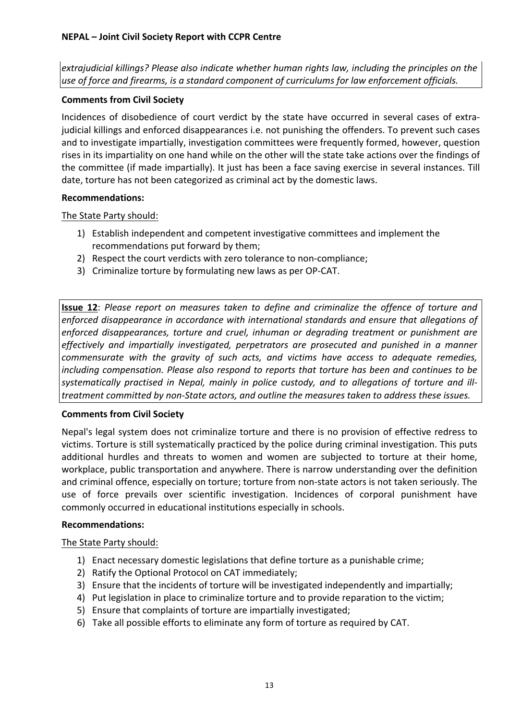*extrajudicial&killings?&Please&also&indicate&whether&human&rights&law,&including&the&principles&on&the& use&of&force&and&firearms,&is&a&standard&component&of&curriculums&for&law&enforcement&officials.*

#### **Comments from Civil Society**

Incidences of disobedience of court verdict by the state have occurred in several cases of extrajudicial killings and enforced disappearances i.e. not punishing the offenders. To prevent such cases and to investigate impartially, investigation committees were frequently formed, however, question rises in its impartiality on one hand while on the other will the state take actions over the findings of the committee (if made impartially). It just has been a face saving exercise in several instances. Till date, torture has not been categorized as criminal act by the domestic laws.

#### **Recommendations:**

The State Party should:

- 1) Establish independent and competent investigative committees and implement the recommendations put forward by them;
- 2) Respect the court verdicts with zero tolerance to non-compliance:
- 3) Criminalize torture by formulating new laws as per OP-CAT.

**Issue 12**: *Please report on measures taken to define and criminalize the offence of torture and* enforced disappearance in accordance with international standards and ensure that allegations of enforced disappearances, torture and cruel, inhuman or degrading treatment or punishment are *effectively& and& impartially& investigated,& perpetrators& are& prosecuted& and& punished& in& a& manner& commensurate& with& the& gravity& of& such& acts,& and& victims& have& access& to& adequate& remedies,& including compensation. Please also respond to reports that torture has been and continues to be systematically practised in Nepal, mainly in police custody, and to allegations of torture and ill*treatment committed by non-State actors, and outline the measures taken to address these issues.

#### **Comments from Civil Society**

Nepal's legal system does not criminalize torture and there is no provision of effective redress to victims. Torture is still systematically practiced by the police during criminal investigation. This puts additional hurdles and threats to women and women are subjected to torture at their home, workplace, public transportation and anywhere. There is narrow understanding over the definition and criminal offence, especially on torture; torture from non-state actors is not taken seriously. The use of force prevails over scientific investigation. Incidences of corporal punishment have commonly occurred in educational institutions especially in schools.

#### **Recommendations:**

The State Party should:

- 1) Enact necessary domestic legislations that define torture as a punishable crime;
- 2) Ratify the Optional Protocol on CAT immediately;
- 3) Ensure that the incidents of torture will be investigated independently and impartially;
- 4) Put legislation in place to criminalize torture and to provide reparation to the victim;
- 5) Ensure that complaints of torture are impartially investigated;
- 6) Take all possible efforts to eliminate any form of torture as required by CAT.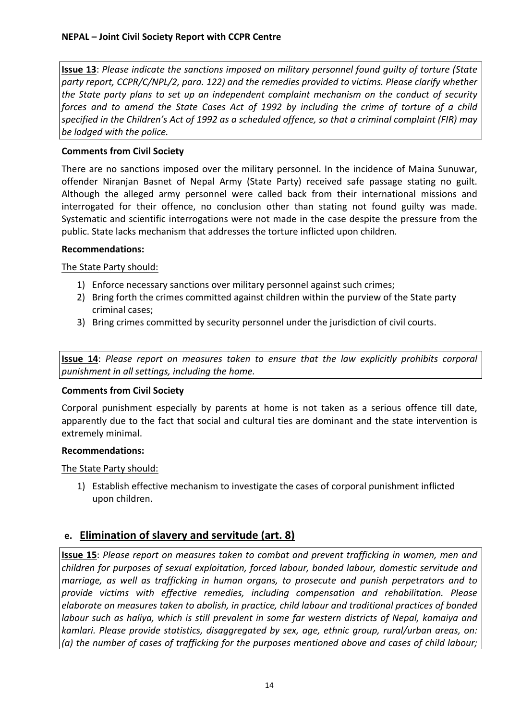**Issue 13**: *Please indicate the sanctions imposed on military personnel found quilty of torture (State* party report, CCPR/C/NPL/2, para. 122) and the remedies provided to victims. Please clarify whether *the State party plans to set up an independent complaint mechanism on the conduct of security forces and to amend the State Cases Act of 1992 by including the crime of torture of a child* specified in the Children's Act of 1992 as a scheduled offence, so that a criminal complaint (FIR) may be *lodged* with the police.

#### **Comments from Civil Society**

There are no sanctions imposed over the military personnel. In the incidence of Maina Sunuwar, offender Niranjan Basnet of Nepal Army (State Party) received safe passage stating no guilt. Although the alleged army personnel were called back from their international missions and interrogated for their offence, no conclusion other than stating not found guilty was made. Systematic and scientific interrogations were not made in the case despite the pressure from the public. State lacks mechanism that addresses the torture inflicted upon children.

#### **Recommendations:**

The State Party should:

- 1) Enforce necessary sanctions over military personnel against such crimes;
- 2) Bring forth the crimes committed against children within the purview of the State party criminal cases;
- 3) Bring crimes committed by security personnel under the jurisdiction of civil courts.

**Issue 14**: *Please report on measures taken to ensure that the law explicitly prohibits corporal* punishment in all settings, including the home.

#### **Comments from Civil Society**

Corporal punishment especially by parents at home is not taken as a serious offence till date, apparently due to the fact that social and cultural ties are dominant and the state intervention is extremely minimal.

#### **Recommendations:**

The State Party should:

1) Establish effective mechanism to investigate the cases of corporal punishment inflicted upon children.

#### **e. Elimination of slavery and servitude (art. 8)**

**Issue 15**: *Please report on measures taken to combat and prevent trafficking in women, men and children& for&purposes&of&sexual&exploitation,& forced&labour,&bonded&labour,&domestic&servitude&and marriage, as well as trafficking in human organs, to prosecute and punish perpetrators and to provide& victims& with& effective& remedies,& including& compensation& and& rehabilitation. Please& elaborate&on&measures&taken&to&abolish,&in&practice,&child&labour&and&traditional&practices&of&bonded& labour such as haliya, which is still prevalent in some far western districts of Nepal, kamaiya and* kamlari. Please provide statistics, disaggregated by sex, age, ethnic group, rural/urban areas, on: (a) the number of cases of trafficking for the purposes mentioned above and cases of child labour;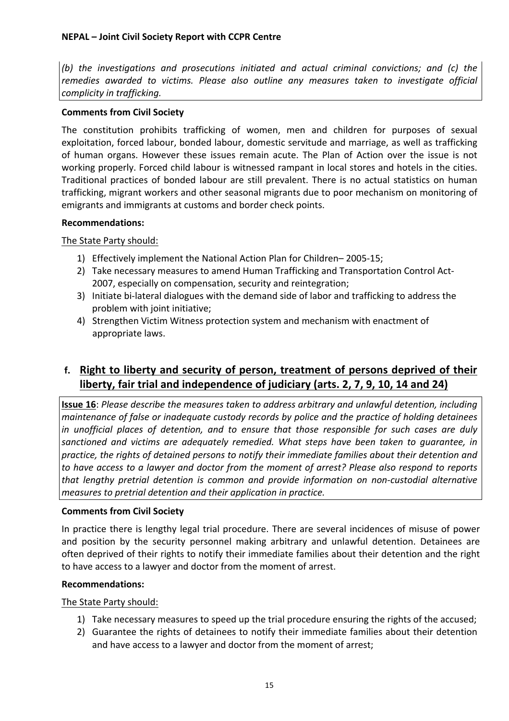*(b)* the *investigations and prosecutions initiated and actual criminal convictions; and (c) the* remedies awarded to victims. Please also outline any measures taken to investigate official *complicity in trafficking.* 

#### **Comments from Civil Society**

The constitution prohibits trafficking of women, men and children for purposes of sexual exploitation, forced labour, bonded labour, domestic servitude and marriage, as well as trafficking of human organs. However these issues remain acute. The Plan of Action over the issue is not working properly. Forced child labour is witnessed rampant in local stores and hotels in the cities. Traditional practices of bonded labour are still prevalent. There is no actual statistics on human trafficking, migrant workers and other seasonal migrants due to poor mechanism on monitoring of emigrants and immigrants at customs and border check points.

#### **Recommendations:**

The State Party should:

- 1) Effectively implement the National Action Plan for Children– 2005-15;
- 2) Take necessary measures to amend Human Trafficking and Transportation Control Act-2007, especially on compensation, security and reintegration;
- 3) Initiate bi-lateral dialogues with the demand side of labor and trafficking to address the problem with joint initiative;
- 4) Strengthen Victim Witness protection system and mechanism with enactment of appropriate laws.

# f. Right to liberty and security of person, treatment of persons deprived of their **liberty, fair trial and independence of judiciary (arts. 2, 7, 9, 10, 14 and 24)**

**Issue 16**: *Please describe the measures taken to address arbitrary and unlawful detention, including maintenance&of&false&or&inadequate&custody&records&by&police&and&the&practice&of&holding&detainees& in unofficial places of detention, and to ensure that those responsible for such cases are duly* sanctioned and victims are adequately remedied. What steps have been taken to guarantee, in practice, the rights of detained persons to notify their immediate families about their detention and to have access to a lawyer and doctor from the moment of arrest? Please also respond to reports *that& lengthy& pretrial& detention& is& common& and& provide& information& on& nonQcustodial& alternative& measures to pretrial detention and their application in practice.* 

#### **Comments from Civil Society**

In practice there is lengthy legal trial procedure. There are several incidences of misuse of power and position by the security personnel making arbitrary and unlawful detention. Detainees are often deprived of their rights to notify their immediate families about their detention and the right to have access to a lawyer and doctor from the moment of arrest.

#### **Recommendations:**

The State Party should:

- 1) Take necessary measures to speed up the trial procedure ensuring the rights of the accused;
- 2) Guarantee the rights of detainees to notify their immediate families about their detention and have access to a lawyer and doctor from the moment of arrest;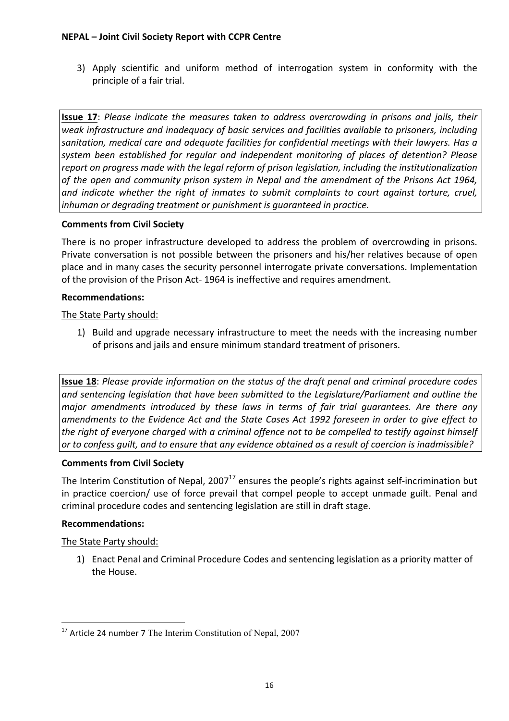3) Apply scientific and uniform method of interrogation system in conformity with the principle of a fair trial.

**Issue 17**: *Please indicate the measures taken to address overcrowding in prisons and jails, their* weak infrastructure and inadequacy of basic services and facilities available to prisoners, including sanitation, medical care and adequate facilities for confidential meetings with their lawyers. Has a system been established for regular and independent monitoring of places of detention? Please report on progress made with the legal reform of prison legislation, including the institutionalization of the open and community prison system in Nepal and the amendment of the Prisons Act 1964, and *indicate whether the right of inmates to submit complaints to court against torture, cruel, inhuman or degrading treatment or punishment is quaranteed in practice.* 

#### **Comments from Civil Society**

There is no proper infrastructure developed to address the problem of overcrowding in prisons. Private conversation is not possible between the prisoners and his/her relatives because of open place and in many cases the security personnel interrogate private conversations. Implementation of the provision of the Prison Act-1964 is ineffective and requires amendment.

#### **Recommendations:**

#### The State Party should:

1) Build and upgrade necessary infrastructure to meet the needs with the increasing number of prisons and jails and ensure minimum standard treatment of prisoners.

**Issue 18**: *Please provide information on the status of the draft penal and criminal procedure codes* and sentencing legislation that have been submitted to the Legislature/Parliament and outline the *major amendments introduced by these laws in terms of fair trial guarantees. Are there any* amendments to the Evidence Act and the State Cases Act 1992 foreseen in order to give effect to the right of everyone charged with a criminal offence not to be compelled to testify against himself or to confess guilt, and to ensure that any evidence obtained as a result of coercion is inadmissible?

#### **Comments from Civil Society**

The Interim Constitution of Nepal, 2007<sup>17</sup> ensures the people's rights against self-incrimination but in practice coercion/ use of force prevail that compel people to accept unmade guilt. Penal and criminal procedure codes and sentencing legislation are still in draft stage.

#### **Recommendations:**

#### The State Party should:

!!!!!!!!!!!!!!!!!!!!!!!!!!!!!!!!!!!!!!!!!!!!!!!!!!!!!!!!!!!!

1) Enact Penal and Criminal Procedure Codes and sentencing legislation as a priority matter of the House.

 $17$  Article 24 number 7 The Interim Constitution of Nepal, 2007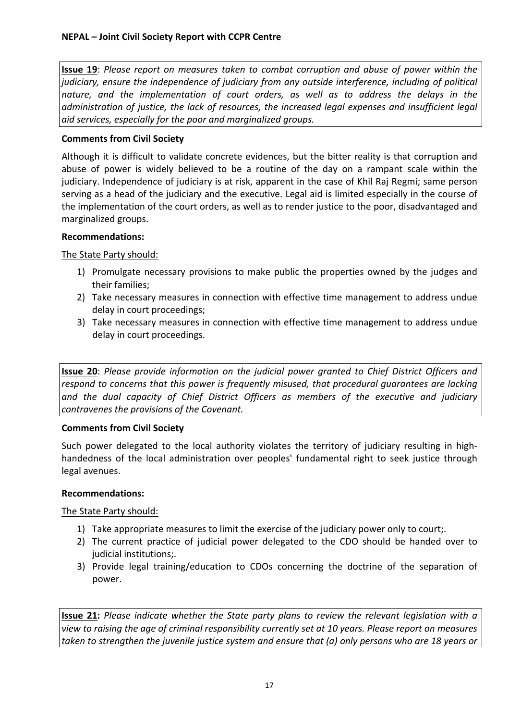**Issue 19**: *Please report on measures taken to combat corruption and abuse of power within the* judiciary, ensure the independence of judiciary from any outside interference, including of political nature, and the implementation of court orders, as well as to address the delays in the administration of justice, the lack of resources, the increased legal expenses and insufficient legal aid services, especially for the poor and marginalized aroups.

#### **Comments from Civil Society**

Although it is difficult to validate concrete evidences, but the bitter reality is that corruption and abuse of power is widely believed to be a routine of the day on a rampant scale within the judiciary. Independence of judiciary is at risk, apparent in the case of Khil Raj Regmi; same person serving as a head of the judiciary and the executive. Legal aid is limited especially in the course of the implementation of the court orders, as well as to render justice to the poor, disadvantaged and marginalized groups.

#### **Recommendations:**

#### The State Party should:

- 1) Promulgate necessary provisions to make public the properties owned by the judges and their families:
- 2) Take necessary measures in connection with effective time management to address undue delay in court proceedings;
- 3) Take necessary measures in connection with effective time management to address undue delay in court proceedings.

**Issue 20**: *Please provide information on the judicial power granted to Chief District Officers and* respond to concerns that this power is frequently misused, that procedural quarantees are lacking and the dual capacity of Chief District Officers as members of the executive and judiciary contravenes the provisions of the Covenant.

#### **Comments from Civil Society**

Such power delegated to the local authority violates the territory of judiciary resulting in highhandedness of the local administration over peoples' fundamental right to seek justice through legal avenues.

#### **Recommendations:**

The State Party should:

- 1) Take appropriate measures to limit the exercise of the judiciary power only to court;.
- 2) The current practice of judicial power delegated to the CDO should be handed over to judicial institutions;.
- 3) Provide legal training/education to CDOs concerning the doctrine of the separation of power.

**Issue 21:** *Please indicate whether the State party plans to review the relevant legislation with a view&to&raising&the&age&of&criminal&responsibility currently&set&at&10&years.&Please&report&on&measures&* taken to strengthen the juvenile justice system and ensure that (a) only persons who are 18 years or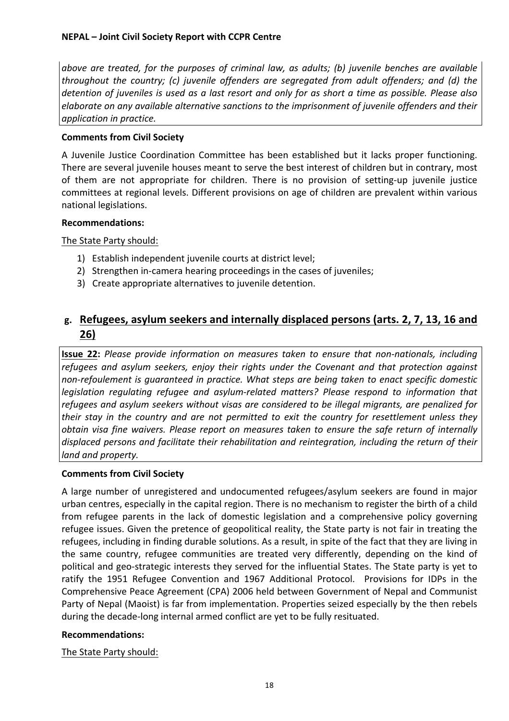*above& are& treated,& for& the& purposes& of& criminal& law,& as& adults;& (b)& juvenile& benches& are& available& throughout the country; (c) juvenile offenders are segregated from adult offenders; and (d) the* detention of juveniles is used as a last resort and only for as short a time as possible. Please also elaborate on any available alternative sanctions to the imprisonment of juvenile offenders and their *application in practice.* 

#### **Comments from Civil Society**

A Juvenile Justice Coordination Committee has been established but it lacks proper functioning. There are several juvenile houses meant to serve the best interest of children but in contrary, most of them are not appropriate for children. There is no provision of setting-up juvenile justice committees at regional levels. Different provisions on age of children are prevalent within various national legislations.

#### **Recommendations:**

The State Party should:

- 1) Establish independent juvenile courts at district level;
- 2) Strengthen in-camera hearing proceedings in the cases of juveniles;
- 3) Create appropriate alternatives to juvenile detention.

# g. Refugees, asylum seekers and internally displaced persons (arts. 2, 7, 13, 16 and **26)**

**Issue 22:** *Please provide information on measures taken to ensure that non-nationals, including* refugees and asylum seekers, enjoy their rights under the Covenant and that protection against *non-refoulement is quaranteed in practice. What steps are being taken to enact specific domestic legislation regulating refugee and asylum-related matters? Please respond to information that* refugees and asylum seekers without visas are considered to be illegal migrants, are penalized for *their stay in the country and are not permitted to exit the country for resettlement unless they obtain& visa& fine& waivers.& Please& report& on&measures& taken& to& ensure& the& safe& return& of& internally&* displaced persons and facilitate their rehabilitation and reintegration, including the return of their land and property.

#### **Comments from Civil Society**

A large number of unregistered and undocumented refugees/asylum seekers are found in major urban centres, especially in the capital region. There is no mechanism to register the birth of a child from refugee parents in the lack of domestic legislation and a comprehensive policy governing refugee issues. Given the pretence of geopolitical reality, the State party is not fair in treating the refugees, including in finding durable solutions. As a result, in spite of the fact that they are living in the same country, refugee communities are treated very differently, depending on the kind of political and geo-strategic interests they served for the influential States. The State party is yet to ratify the 1951 Refugee Convention and 1967 Additional Protocol. Provisions for IDPs in the Comprehensive Peace Agreement (CPA) 2006 held between Government of Nepal and Communist Party of Nepal (Maoist) is far from implementation. Properties seized especially by the then rebels during the decade-long internal armed conflict are yet to be fully resituated.

#### **Recommendations:**

The State Party should: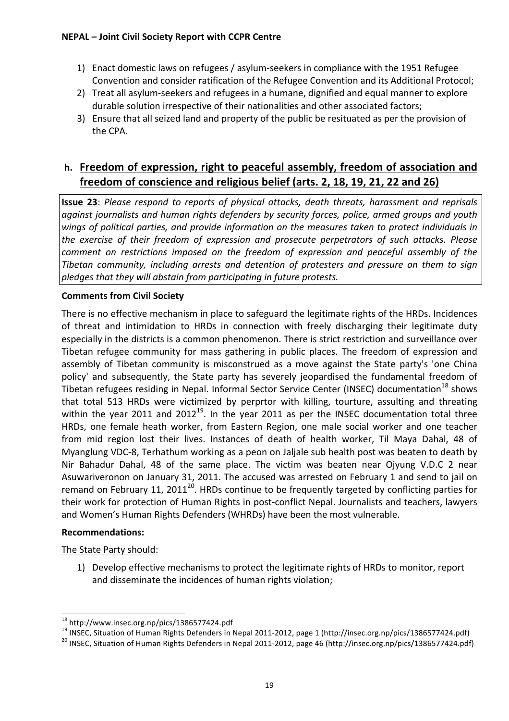- 1) Enact domestic laws on refugees / asylum-seekers in compliance with the 1951 Refugee Convention and consider ratification of the Refugee Convention and its Additional Protocol;
- 2) Treat all asylum-seekers and refugees in a humane, dignified and equal manner to explore durable solution irrespective of their nationalities and other associated factors;
- 3) Ensure that all seized land and property of the public be resituated as per the provision of the CPA.

# **h.** Freedom of expression, right to peaceful assembly, freedom of association and freedom of conscience and religious belief (arts. 2, 18, 19, 21, 22 and 26)

**Issue 23**: *Please respond to reports of physical attacks, death threats, harassment and reprisals* against journalists and human rights defenders by security forces, police, armed groups and youth wings of political parties, and provide information on the measures taken to protect individuals in the exercise of their freedom of expression and prosecute perpetrators of such attacks. Please *comment on restrictions imposed on the freedom of expression and peaceful assembly of the Tibetan community, including arrests and detention of protesters and pressure on them to sign* pledges that they will abstain from participating in future protests.

#### **Comments from Civil Society**

There is no effective mechanism in place to safeguard the legitimate rights of the HRDs. Incidences of threat and intimidation to HRDs in connection with freely discharging their legitimate duty especially in the districts is a common phenomenon. There is strict restriction and surveillance over Tibetan refugee community for mass gathering in public places. The freedom of expression and assembly of Tibetan community is misconstrued as a move against the State party's 'one China policy' and subsequently, the State party has severely jeopardised the fundamental freedom of Tibetan refugees residing in Nepal. Informal Sector Service Center (INSEC) documentation<sup>18</sup> shows that total 513 HRDs were victimized by perprtor with killing, tourture, assulting and threating within the year 2011 and  $2012^{19}$ . In the year 2011 as per the INSEC documentation total three HRDs, one female heath worker, from Eastern Region, one male social worker and one teacher from mid region lost their lives. Instances of death of health worker, Til Maya Dahal, 48 of Myanglung VDC-8, Terhathum working as a peon on Jaljale sub health post was beaten to death by Nir Bahadur Dahal, 48 of the same place. The victim was beaten near Ojyung V.D.C 2 near Asuwariveronon on January 31, 2011. The accused was arrested on February 1 and send to jail on remand on February 11, 2011<sup>20</sup>. HRDs continue to be frequently targeted by conflicting parties for their work for protection of Human Rights in post-conflict Nepal. Journalists and teachers, lawyers and Women's Human Rights Defenders (WHRDs) have been the most vulnerable.

#### **Recommendations:**

The State Party should:

1) Develop effective mechanisms to protect the legitimate rights of HRDs to monitor, report and disseminate the incidences of human rights violation;

<sup>&</sup>lt;sup>18</sup> http://www.insec.org.np/pics/1386577424.pdf<br><sup>19</sup> INSEC, Situation of Human Rights Defenders in Nepal 2011-2012, page 1 (http://insec.org.np/pics/1386577424.pdf)<br><sup>20</sup> INSEC, Situation of Human Rights Defenders in Nepa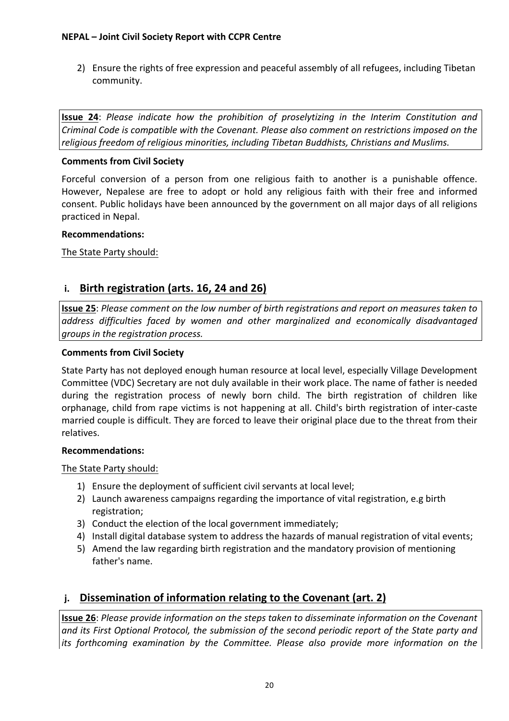2) Ensure the rights of free expression and peaceful assembly of all refugees, including Tibetan community.

**Issue 24**: *Please indicate how the prohibition of proselytizing in the Interim Constitution and Criminal&Code&is&compatible&with&the&Covenant.&Please&also&comment&on&restrictions&imposed&on&the&* religious freedom of religious minorities, including Tibetan Buddhists, Christians and Muslims.

#### **Comments from Civil Society**

Forceful conversion of a person from one religious faith to another is a punishable offence. However, Nepalese are free to adopt or hold any religious faith with their free and informed consent. Public holidays have been announced by the government on all major days of all religions practiced in Nepal.

#### **Recommendations:**

The State Party should:

#### **i.** Birth registration (arts. 16, 24 and 26)

**Issue 25**: Please comment on the low number of birth registrations and report on measures taken to *address& difficulties& faced& by& women& and& other& marginalized& and& economically& disadvantaged& groups in the registration process.* 

#### **Comments from Civil Society**

State Party has not deployed enough human resource at local level, especially Village Development Committee (VDC) Secretary are not duly available in their work place. The name of father is needed during the registration process of newly born child. The birth registration of children like orphanage, child from rape victims is not happening at all. Child's birth registration of inter-caste married couple is difficult. They are forced to leave their original place due to the threat from their relatives.

#### **Recommendations:**

The State Party should:

- 1) Ensure the deployment of sufficient civil servants at local level;
- 2) Launch awareness campaigns regarding the importance of vital registration, e.g birth registration;
- 3) Conduct the election of the local government immediately;
- 4) Install digital database system to address the hazards of manual registration of vital events;
- 5) Amend the law regarding birth registration and the mandatory provision of mentioning father's name.

# **j.** Dissemination of information relating to the Covenant (art. 2)

**Issue 26**: *Please provide information on the steps taken to disseminate information on the Covenant* and its First Optional Protocol, the submission of the second periodic report of the State party and its forthcoming examination by the Committee. Please also provide more information on the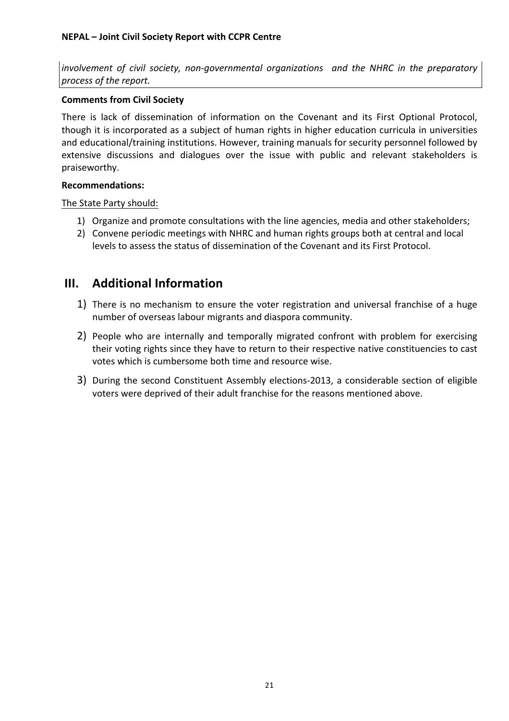*involvement of civil society, non-governmental organizations and the NHRC in the preparatory process of the report.* 

#### **Comments from Civil Society**

There is lack of dissemination of information on the Covenant and its First Optional Protocol, though it is incorporated as a subject of human rights in higher education curricula in universities and educational/training institutions. However, training manuals for security personnel followed by extensive discussions and dialogues over the issue with public and relevant stakeholders is praiseworthy.

#### **Recommendations:**

The State Party should:

- 1) Organize and promote consultations with the line agencies, media and other stakeholders;
- 2) Convene periodic meetings with NHRC and human rights groups both at central and local levels to assess the status of dissemination of the Covenant and its First Protocol.

# **III.** Additional Information

- 1) There is no mechanism to ensure the voter registration and universal franchise of a huge number of overseas labour migrants and diaspora community.
- 2) People who are internally and temporally migrated confront with problem for exercising their voting rights since they have to return to their respective native constituencies to cast votes which is cumbersome both time and resource wise.
- 3) During the second Constituent Assembly elections-2013, a considerable section of eligible voters were deprived of their adult franchise for the reasons mentioned above.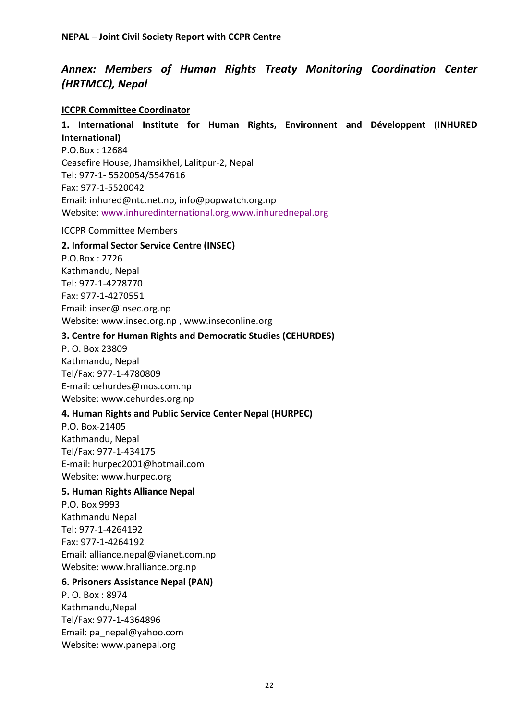### *Annex:& Members of& Human& Rights& Treaty& Monitoring& Coordination& Center& (HRTMCC), Nepal*

#### **ICCPR Committee Coordinator**

#### 1. International Institute for Human Rights, Environnent and Développent (INHURED **International)**

P.O.Box: 12684 Ceasefire House, Jhamsikhel, Lalitpur-2, Nepal Tel: 977-1- 5520054/5547616 Fax: 977-1-5520042 Email: inhured@ntc.net.np, info@popwatch.org.np Website: www.inhuredinternational.org,www.inhurednepal.org

#### **ICCPR Committee Members**

#### **2. Informal Sector Service Centre (INSEC)**

P.O.Box: 2726 Kathmandu, Nepal Tel: 977-1-4278770 Fax: 977-1-4270551 Email: insec@insec.org.np Website: www.insec.org.np, www.inseconline.org

#### **3. Centre for Human Rights and Democratic Studies (CEHURDES)**

P.!O.!Box!23809 Kathmandu, Nepal Tel/Fax: 977-1-4780809 E-mail: cehurdes@mos.com.np Website: www.cehurdes.org.np

#### **4. Human Rights and Public Service Center Nepal (HURPEC)**

P.O. Box-21405 Kathmandu, Nepal Tel/Fax: 977-1-434175 E-mail: hurpec2001@hotmail.com Website: www.hurpec.org

#### **5. Human Rights Alliance Nepal**

P.O.!Box!9993 Kathmandu!Nepal Tel: 977-1-4264192 Fax: 977-1-4264192 Email: alliance.nepal@vianet.com.np Website: www.hralliance.org.np

#### **6. Prisoners Assistance Nepal (PAN)**

P. O. Box: 8974 Kathmandu,Nepal Tel/Fax: 977-1-4364896 Email: pa\_nepal@yahoo.com Website: www.panepal.org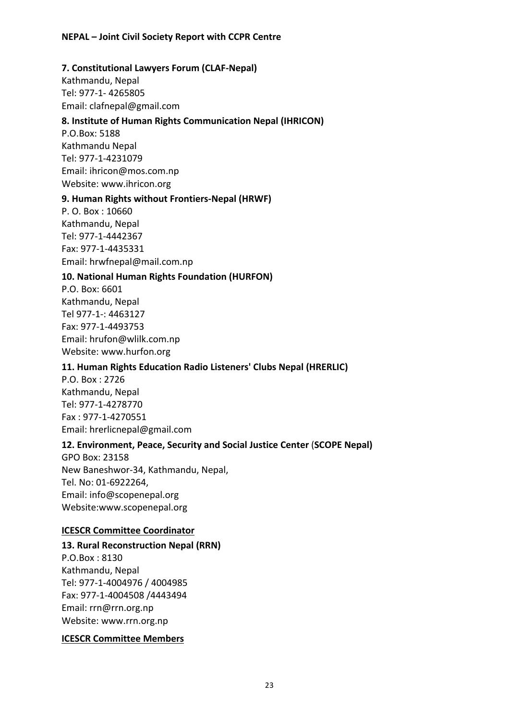#### **7. Constitutional Lawyers Forum (CLAF-Nepal)**

Kathmandu, Nepal Tel: 977-1-4265805 Email: clafnepal@gmail.com

#### 8. Institute of Human Rights Communication Nepal (IHRICON)

P.O.Box: 5188 Kathmandu!Nepal Tel: 977-1-4231079 Email: ihricon@mos.com.np Website: www.ihricon.org

#### **9. Human Rights without Frontiers-Nepal (HRWF)**

P. O. Box: 10660 Kathmandu, Nepal Tel: 977-1-4442367 Fax: 977-1-4435331 Email: hrwfnepal@mail.com.np

#### **10. National Human Rights Foundation (HURFON)**

P.O. Box: 6601 Kathmandu, Nepal Tel 977-1-: 4463127 Fax: 977-1-4493753 Email: hrufon@wlilk.com.np Website: www.hurfon.org

#### **11. Human Rights Education Radio Listeners' Clubs Nepal (HRERLIC)**

P.O. Box: 2726 Kathmandu, Nepal Tel: 977-1-4278770 Fax: 977-1-4270551 Email: hrerlicnepal@gmail.com

#### 12. Environment, Peace, Security and Social Justice Center (SCOPE Nepal)

GPO Box: 23158 New Baneshwor-34, Kathmandu, Nepal, Tel. No: 01-6922264, Email: info@scopenepal.org Website:www.scopenepal.org

#### **ICESCR Committee Coordinator**

#### 13. Rural Reconstruction Nepal (RRN)

P.O.Box: 8130 Kathmandu, Nepal Tel: 977-1-4004976 / 4004985 Fax: 977-1-4004508 /4443494 Email: rrn@rrn.org.np Website: www.rrn.org.np

#### **ICESCR Committee Members**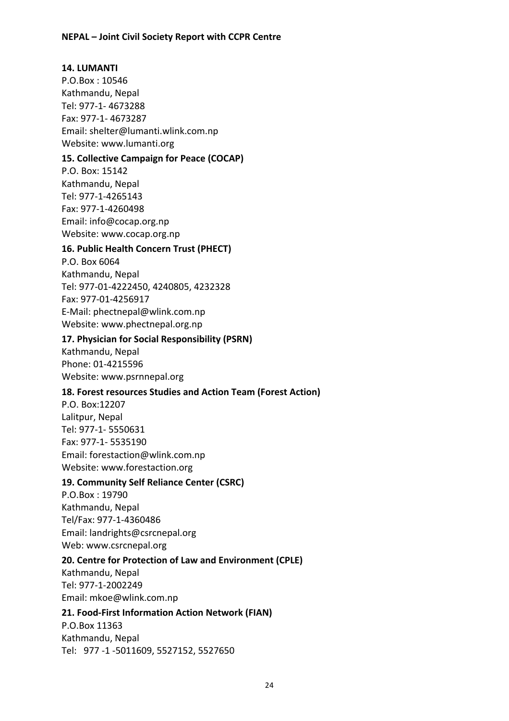#### **14. LUMANTI**

P.O.Box: 10546 Kathmandu, Nepal Tel: 977-1-4673288 Fax: 977-1-4673287 Email: shelter@lumanti.wlink.com.np Website: www.lumanti.org

#### **15. Collective Campaign for Peace (COCAP)**

P.O. Box: 15142 Kathmandu, Nepal Tel: 977-1-4265143 Fax: 977-1-4260498 Email: info@cocap.org.np Website: www.cocap.org.np

#### **16. Public Health Concern Trust (PHECT)**

P.O. Box 6064 Kathmandu, Nepal Tel: 977-01-4222450, 4240805, 4232328 Fax: 977-01-4256917 E-Mail: phectnepal@wlink.com.np Website: www.phectnepal.org.np

#### 17. Physician for Social Responsibility (PSRN)

Kathmandu, Nepal Phone: 01-4215596 Website: www.psrnnepal.org

#### 18. Forest resources Studies and Action Team (Forest Action)

P.O.!Box:12207 Lalitpur, Nepal Tel: 977-1- 5550631 Fax: 977-1- 5535190 Email: forestaction@wlink.com.np Website: www.forestaction.org

#### **19. Community Self Reliance Center (CSRC)**

P.O.Box: 19790 Kathmandu, Nepal Tel/Fax: 977-1-4360486 Email: landrights@csrcnepal.org Web: www.csrcnepal.org

#### **20. Centre for Protection of Law and Environment (CPLE)**

Kathmandu, Nepal Tel: 977-1-2002249 Email: mkoe@wlink.com.np

#### **21. Food-First Information Action Network (FIAN)**

P.O.Box!11363 Kathmandu, Nepal Tel: 977 -1 -5011609, 5527152, 5527650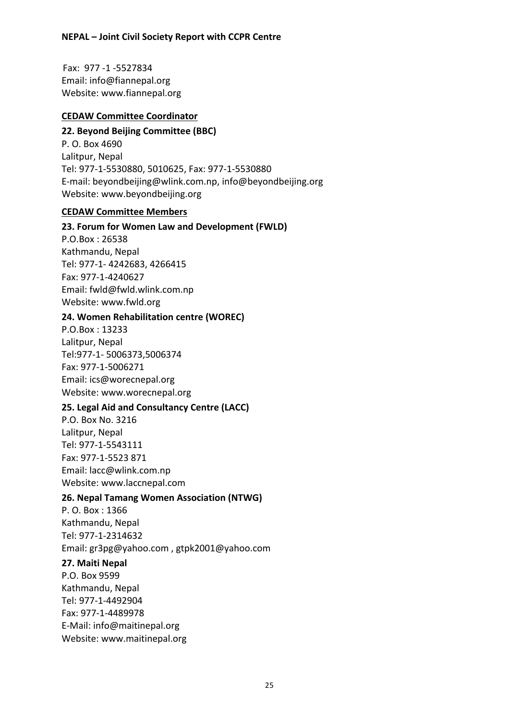Fax: 977-1-5527834 Email: info@fiannepal.org Website: www.fiannepal.org

#### **CEDAW&Committee&Coordinator**

#### **22. Beyond Beijing Committee (BBC)**

P. O. Box 4690 Lalitpur, Nepal Tel: 977-1-5530880, 5010625, Fax: 977-1-5530880 E-mail: beyondbeijing@wlink.com.np, info@beyondbeijing.org Website: www.beyondbeijing.org

#### **CEDAW&Committee&Members**

#### **23. Forum for Women Law and Development (FWLD)**

P.O.Box: 26538 Kathmandu, Nepal Tel: 977-1- 4242683, 4266415 Fax: 977-1-4240627 Email: fwld@fwld.wlink.com.np Website: www.fwld.org

#### **24. Women Rehabilitation centre (WOREC)**

P.O.Box: 13233 Lalitpur, Nepal Tel:977-1-5006373,5006374 Fax: 977-1-5006271 Email: ics@worecnepal.org Website: www.worecnepal.org

#### **25. Legal Aid and Consultancy Centre (LACC)**

P.O.!Box!No.!3216 Lalitpur, Nepal Tel: 977-1-5543111 Fax: 977-1-5523 871 Email: lacc@wlink.com.np Website: www.laccnepal.com

#### **26. Nepal Tamang Women Association (NTWG)**

P. O. Box: 1366 Kathmandu, Nepal Tel: 977-1-2314632 Email: gr3pg@yahoo.com, gtpk2001@yahoo.com

#### **27. Maiti Nepal**

P.O.!Box!9599 Kathmandu, Nepal Tel: 977-1-4492904 Fax: 977-1-4489978 E-Mail: info@maitinepal.org Website: www.maitinepal.org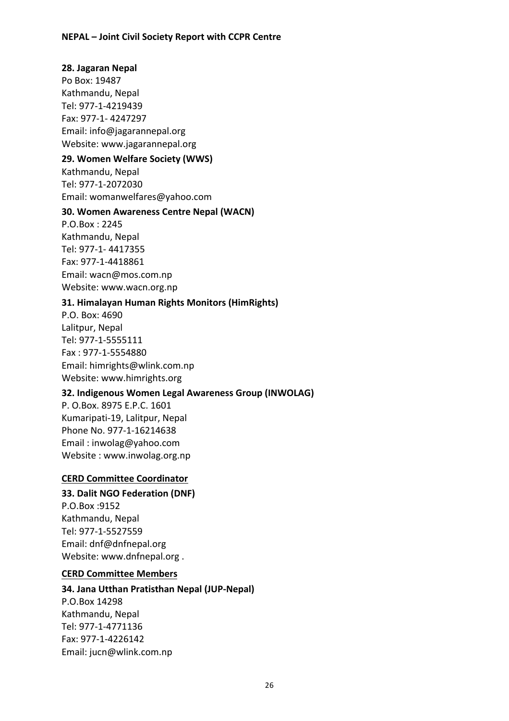#### **28. Jagaran Nepal**

Po Box: 19487 Kathmandu, Nepal Tel: 977-1-4219439 Fax: 977-1-4247297 Email: info@jagarannepal.org Website: www.jagarannepal.org

#### **29. Women Welfare Society (WWS)**

Kathmandu, Nepal Tel: 977-1-2072030 Email: womanwelfares@yahoo.com

#### **30. Women Awareness Centre Nepal (WACN)**

P.O.Box: 2245 Kathmandu, Nepal Tel: 977-1- 4417355 Fax: 977-1-4418861 Email: wacn@mos.com.np Website: www.wacn.org.np

#### **31. Himalayan Human Rights Monitors (HimRights)**

P.O. Box: 4690 Lalitpur, Nepal Tel: 977-1-5555111 Fax: 977-1-5554880 Email: himrights@wlink.com.np Website: www.himrights.org

#### **32. Indigenous Women Legal Awareness Group (INWOLAG)**

P. O.Box. 8975 E.P.C. 1601 Kumaripati-19, Lalitpur, Nepal Phone No. 977-1-16214638 Email: inwolag@yahoo.com Website: www.inwolag.org.np

#### **CERD Committee Coordinator**

#### **33. Dalit NGO Federation (DNF)**

P.O.Box!:9152 Kathmandu, Nepal Tel: 977-1-5527559 Email: dnf@dnfnepal.org Website: www.dnfnepal.org .

#### **CERD Committee Members**

#### **34. Jana Utthan Pratisthan Nepal (JUP-Nepal)**

P.O.Box!14298 Kathmandu, Nepal Tel: 977-1-4771136 Fax: 977-1-4226142 Email: jucn@wlink.com.np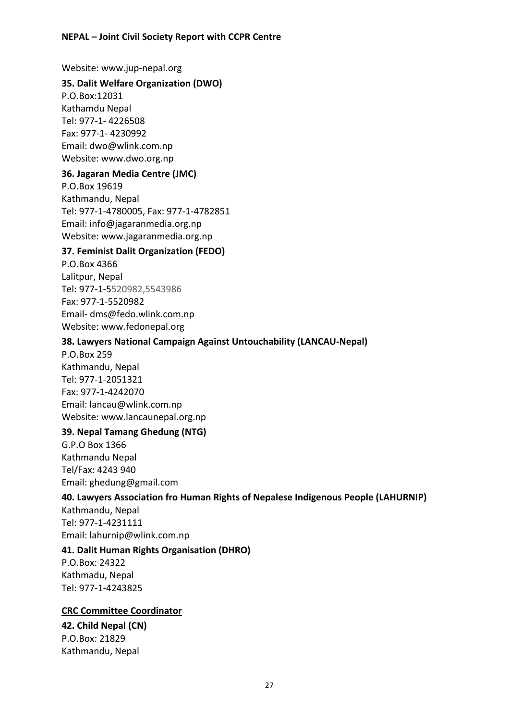Website: www.jup-nepal.org

#### **35. Dalit Welfare Organization (DWO)**

P.O.Box:12031 Kathamdu!Nepal Tel: 977-1- 4226508 Fax: 977-1-4230992 Email: dwo@wlink.com.np Website: www.dwo.org.np

#### **36. Jagaran Media Centre (JMC)**

P.O.Box!19619 Kathmandu, Nepal Tel: 977-1-4780005, Fax: 977-1-4782851 Email: info@jagaranmedia.org.np Website: www.jagaranmedia.org.np

#### **37. Feminist Dalit Organization (FEDO)**

P.O.Box!4366 Lalitpur, Nepal Tel: 977-1-5520982.5543986 Fax: 977-1-5520982 Email- dms@fedo.wlink.com.np Website: www.fedonepal.org

#### **38. Lawyers National Campaign Against Untouchability (LANCAU-Nepal)**

P.O.Box!259 Kathmandu, Nepal Tel: 977-1-2051321 Fax: 977-1-4242070 Email: lancau@wlink.com.np Website: www.lancaunepal.org.np

#### **39. Nepal Tamang Ghedung (NTG)**

G.P.O!Box!1366 Kathmandu!Nepal Tel/Fax: 4243 940 Email: ghedung@gmail.com

#### 40. Lawyers Association fro Human Rights of Nepalese Indigenous People (LAHURNIP)

Kathmandu, Nepal Tel: 977-1-4231111 Email: lahurnip@wlink.com.np

#### **41. Dalit Human Rights Organisation (DHRO)**

P.O.Box: 24322 Kathmadu, Nepal Tel: 977-1-4243825

#### **CRC Committee Coordinator**

**42.&Child Nepal&(CN)** P.O.Box: 21829 Kathmandu, Nepal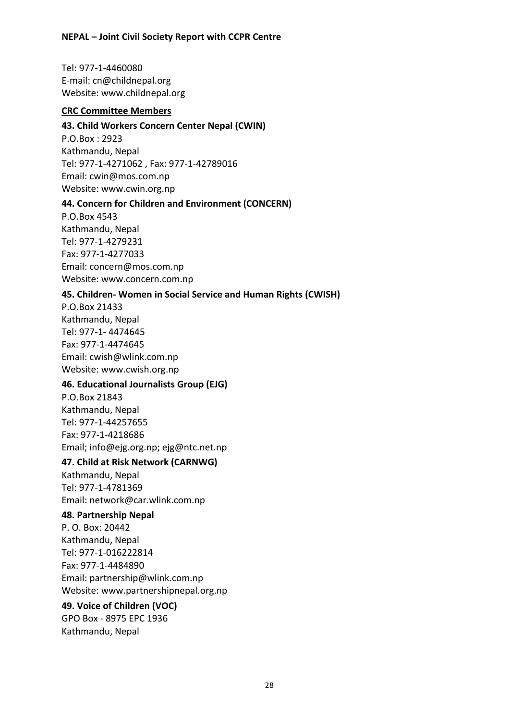Tel: 977-1-4460080 E-mail: cn@childnepal.org Website: www.childnepal.org

#### **CRC Committee Members**

#### **43. Child Workers Concern Center Nepal (CWIN)**

P.O.Box: 2923 Kathmandu, Nepal Tel: 977-1-4271062, Fax: 977-1-42789016 Email: cwin@mos.com.np Website: www.cwin.org.np

#### **44. Concern for Children and Environment (CONCERN)**

P.O.Box!4543 Kathmandu, Nepal Tel: 977-1-4279231 Fax: 977-1-4277033 Email: concern@mos.com.np Website: www.concern.com.np

#### **45. Children- Women in Social Service and Human Rights (CWISH)**

P.O.Box!21433 Kathmandu, Nepal Tel: 977-1-4474645 Fax: 977-1-4474645 Email: cwish@wlink.com.np Website: www.cwish.org.np

#### **46. Educational Journalists Group (EJG)**

P.O.Box!21843 Kathmandu, Nepal Tel: 977-1-44257655 Fax: 977-1-4218686 Email; info@ejg.org.np; ejg@ntc.net.np

#### **47. Child at Risk Network (CARNWG)**

Kathmandu, Nepal Tel: 977-1-4781369 Email: network@car.wlink.com.np

#### **48. Partnership Nepal**

P. O. Box: 20442 Kathmandu, Nepal Tel: 977-1-016222814 Fax: 977-1-4484890 Email: partnership@wlink.com.np Website: www.partnershipnepal.org.np

#### **49. Voice of Children (VOC)**

GPO Box - 8975 EPC 1936 Kathmandu, Nepal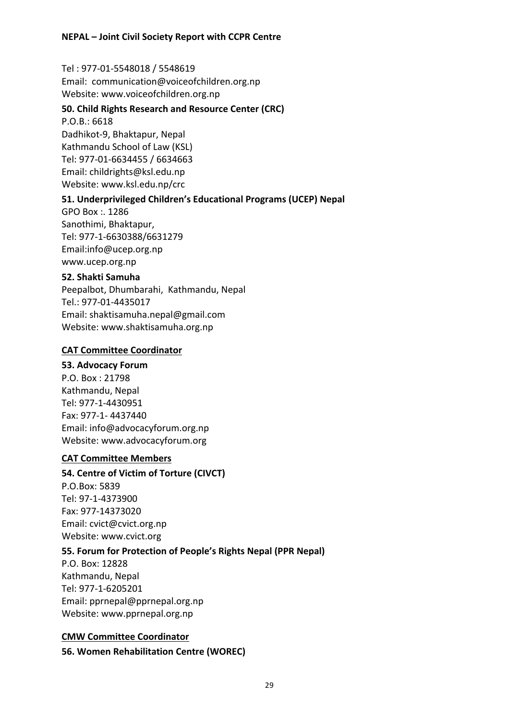Tel: 977-01-5548018 / 5548619

Email: communication@voiceofchildren.org.np Website: www.voiceofchildren.org.np

#### **50. Child Rights Research and Resource Center (CRC)**

 $P.O.B.: 6618$ Dadhikot-9, Bhaktapur, Nepal Kathmandu School of Law (KSL) Tel: 977-01-6634455 / 6634663 Email: childrights@ksl.edu.np Website: www.ksl.edu.np/crc

#### **51. Underprivileged Children's Educational Programs (UCEP) Nepal**

GPO Box: 1286 Sanothimi, Bhaktapur, Tel: 977-1-6630388/6631279 Email:info@ucep.org.np www.ucep.org.np

#### **52.&Shakti&Samuha**

Peepalbot, Dhumbarahi, Kathmandu, Nepal Tel.: 977-01-4435017 Email: shaktisamuha.nepal@gmail.com Website: www.shaktisamuha.org.np

#### **CAT Committee Coordinator**

#### **53. Advocacy Forum**

P.O. Box: 21798 Kathmandu, Nepal Tel: 977-1-4430951 Fax: 977-1-4437440 Email: info@advocacyforum.org.np Website: www.advocacyforum.org

#### **CAT Committee Members**

#### **54. Centre of Victim of Torture (CIVCT)**

P.O.Box: 5839 Tel: 97-1-4373900 Fax: 977-14373020 Email: cvict@cvict.org.np Website: www.cvict.org

#### **55. Forum for Protection of People's Rights Nepal (PPR Nepal)**

P.O. Box: 12828 Kathmandu, Nepal Tel: 977-1-6205201 Email: pprnepal@pprnepal.org.np Website: www.pprnepal.org.np

#### **CMW&Committee&Coordinator**

**56. Women Rehabilitation Centre (WOREC)**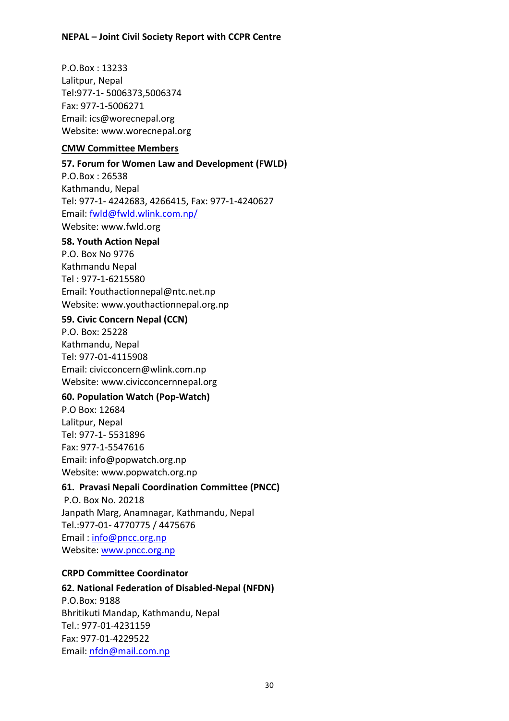P.O.Box!: 13233 Lalitpur, Nepal Tel: 977-1 - 5006373,5006374 Fax: 977-1-5006271 Email: ics@worecnepal.org Website: www.worecnepal.org

#### **CMW&Committee&Members&**

#### **57. Forum for Women Law and Development (FWLD)**

P.O.Box: 26538 Kathmandu, Nepal Tel: 977-1- 4242683, 4266415, Fax: 977-1-4240627 Email: fwld@fwld.wlink.com.np/ Website: www.fwld.org

#### **58. Youth Action Nepal**

P.O.!Box!No!9776 Kathmandu!Nepal Tel: 977-1-6215580 Email: Youthactionnepal@ntc.net.np Website: www.youthactionnepal.org.np

#### **59. Civic Concern Nepal (CCN)**

P.O. Box: 25228 Kathmandu, Nepal Tel: 977-01-4115908 Email: civicconcern@wlink.com.np Website: www.civicconcernnepal.org

#### **60. Population Watch (Pop-Watch)**

P.O Box: 12684 Lalitpur, Nepal Tel: 977-1- 5531896 Fax: 977-1-5547616 Email: info@popwatch.org.np Website: www.popwatch.org.np

#### **61. Pravasi Nepali Coordination Committee (PNCC)**

P.O. Box No. 20218 Janpath Marg, Anamnagar, Kathmandu, Nepal Tel.:977-01-4770775 / 4475676 Email: info@pncc.org.np Website: www.pncc.org.np

#### **CRPD Committee Coordinator**

#### **62. National Federation of Disabled-Nepal (NFDN)**

P.O.Box: 9188 Bhritikuti Mandap, Kathmandu, Nepal Tel.: 977-01-4231159 Fax: 977-01-4229522 Email: nfdn@mail.com.np